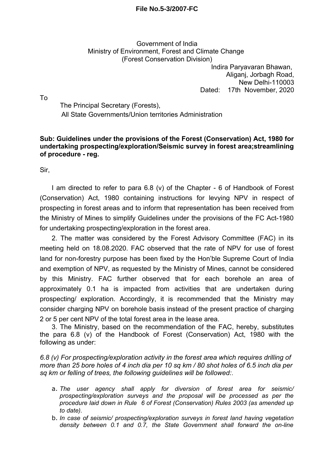## **File No.5-3/2007-FC**

## Government of India Ministry of Environment, Forest and Climate Change (Forest Conservation Division)

Indira Paryavaran Bhawan, Aliganj, Jorbagh Road, New Delhi-110003 Dated: 17th November, 2020

To

The Principal Secretary (Forests), All State Governments/Union territories Administration

## **Sub: Guidelines under the provisions of the Forest (Conservation) Act, 1980 for undertaking prospecting/exploration/Seismic survey in forest area;streamlining of procedure - reg.**

Sir,

I am directed to refer to para 6.8 (v) of the Chapter - 6 of Handbook of Forest (Conservation) Act, 1980 containing instructions for levying NPV in respect of prospecting in forest areas and to inform that representation has been received from the Ministry of Mines to simplify Guidelines under the provisions of the FC Act-1980 for undertaking prospecting/exploration in the forest area.

2. The matter was considered by the Forest Advisory Committee (FAC) in its meeting held on 18.08.2020. FAC observed that the rate of NPV for use of forest land for non-forestry purpose has been fixed by the Hon'ble Supreme Court of India and exemption of NPV, as requested by the Ministry of Mines, cannot be considered by this Ministry. FAC further observed that for each borehole an area of approximately 0.1 ha is impacted from activities that are undertaken during prospecting/ exploration. Accordingly, it is recommended that the Ministry may consider charging NPV on borehole basis instead of the present practice of charging 2 or 5 per cent NPV of the total forest area in the lease area.

3. The Ministry, based on the recommendation of the FAC, hereby, substitutes the para 6.8 (v) of the Handbook of Forest (Conservation) Act, 1980 with the following as under:

*6.8 (v) For prospecting/exploration activity in the forest area which requires drilling of more than 25 bore holes of 4 inch dia per 10 sq km / 80 shot holes of 6.5 inch dia per sq km or felling of trees, the following guidelines will be followed:.*

- a. *The user agency shall apply for diversion of forest area for seismic/ prospecting/exploration surveys and the proposal will be processed as per the procedure laid down in Rule 6 of Forest (Conservation) Rules 2003 (as amended up to date).*
- b. *In case of seismic/ prospecting/exploration surveys in forest land having vegetation density between 0.1 and 0.7, the State Government shall forward the on-line*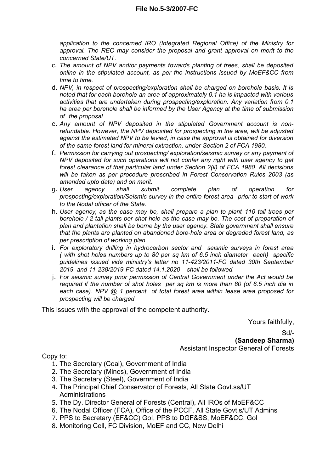*application to the concerned IRO (Integrated Regional Office) of the Ministry for approval. The REC may consider the proposal and grant approval on merit to the concerned State/UT.*

- c. *The amount of NPV and/or payments towards planting of trees, shall be deposited online in the stipulated account, as per the instructions issued by MoEF&CC from time to time.*
- d. *NPV, in respect of prospecting/exploration shall be charged on borehole basis. It is noted that for each borehole an area of approximately 0.1 ha is impacted with various activities that are undertaken during prospecting/exploration. Any variation from 0.1 ha area per borehole shall be informed by the User Agency at the time of submission of the proposal.*
- e. *Any amount of NPV deposited in the stipulated Government account is nonrefundable. However, the NPV deposited for prospecting in the area, will be adjusted against the estimated NPV to be levied, in case the approval is obtained for diversion of the same forest land for mineral extraction, under Section 2 of FCA 1980.*
- f. *Permission for carrying out prospecting/ exploration/seismic survey or any payment of NPV deposited for such operations will not confer any right with user agency to get forest clearance of that particular land under Section 2(ii) of FCA 1980. All decisions will be taken as per procedure prescribed in Forest Conservation Rules 2003 (as amended upto date) and on merit.*
- g. *User agency shall submit complete plan of operation for prospecting/exploration/Seismic survey in the entire forest area prior to start of work to the Nodal officer of the State.*
- h. *User agency, as the case may be, shall prepare a plan to plant 110 tall trees per borehole / 2 tall plants per shot hole as the case may be. The cost of preparation of plan and plantation shall be borne by the user agency. State government shall ensure that the plants are planted on abandoned bore-hole area or degraded forest land, as per prescription of working plan.*
- i. *For exploratory drilling in hydrocarbon sector and seismic surveys in forest area ( with shot holes numbers up to 80 per sq km of 6.5 inch diameter each) specific guidelines issued vide ministry's letter no 11-423/2011-FC dated 30th September 2019. and 11-238/2019-FC dated 14.1.2020 shall be followed.*
- j. *For seismic survey prior permission of Central Government under the Act would be required if the number of shot holes per sq km is more than 80 (of 6.5 inch dia in each case). NPV @ 1 percent of total forest area within lease area proposed for prospecting will be charged*

This issues with the approval of the competent authority.

Yours faithfully,

Sd/-

**(Sandeep Sharma)** Assistant Inspector General of Forests

Copy to:

- 1. The Secretary (Coal), Government of India
- 2. The Secretary (Mines), Government of India
- 3. The Secretary (Steel), Government of India
- 4. The Principal Chief Conservator of Forests, All State Govt.ss/UT **Administrations**
- 5. The Dy. Director General of Forests (Central), All IROs of MoEF&CC
- 6. The Nodal Officer (FCA), Office of the PCCF, All State Govt.s/UT Admins
- 7. PPS to Secretary (EF&CC) GoI, PPS to DGF&SS, MoEF&CC, GoI
- 8. Monitoring Cell, FC Division, MoEF and CC, New Delhi